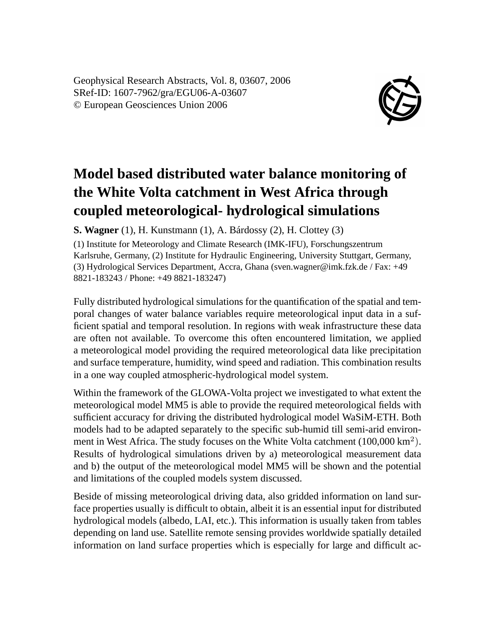Geophysical Research Abstracts, Vol. 8, 03607, 2006 SRef-ID: 1607-7962/gra/EGU06-A-03607 © European Geosciences Union 2006



## **Model based distributed water balance monitoring of the White Volta catchment in West Africa through coupled meteorological- hydrological simulations**

**S. Wagner** (1), H. Kunstmann (1), A. Bárdossy (2), H. Clottey (3)

(1) Institute for Meteorology and Climate Research (IMK-IFU), Forschungszentrum Karlsruhe, Germany, (2) Institute for Hydraulic Engineering, University Stuttgart, Germany, (3) Hydrological Services Department, Accra, Ghana (sven.wagner@imk.fzk.de / Fax: +49 8821-183243 / Phone: +49 8821-183247)

Fully distributed hydrological simulations for the quantification of the spatial and temporal changes of water balance variables require meteorological input data in a sufficient spatial and temporal resolution. In regions with weak infrastructure these data are often not available. To overcome this often encountered limitation, we applied a meteorological model providing the required meteorological data like precipitation and surface temperature, humidity, wind speed and radiation. This combination results in a one way coupled atmospheric-hydrological model system.

Within the framework of the GLOWA-Volta project we investigated to what extent the meteorological model MM5 is able to provide the required meteorological fields with sufficient accuracy for driving the distributed hydrological model WaSiM-ETH. Both models had to be adapted separately to the specific sub-humid till semi-arid environment in West Africa. The study focuses on the White Volta catchment (100,000 km<sup>2</sup>). Results of hydrological simulations driven by a) meteorological measurement data and b) the output of the meteorological model MM5 will be shown and the potential and limitations of the coupled models system discussed.

Beside of missing meteorological driving data, also gridded information on land surface properties usually is difficult to obtain, albeit it is an essential input for distributed hydrological models (albedo, LAI, etc.). This information is usually taken from tables depending on land use. Satellite remote sensing provides worldwide spatially detailed information on land surface properties which is especially for large and difficult ac